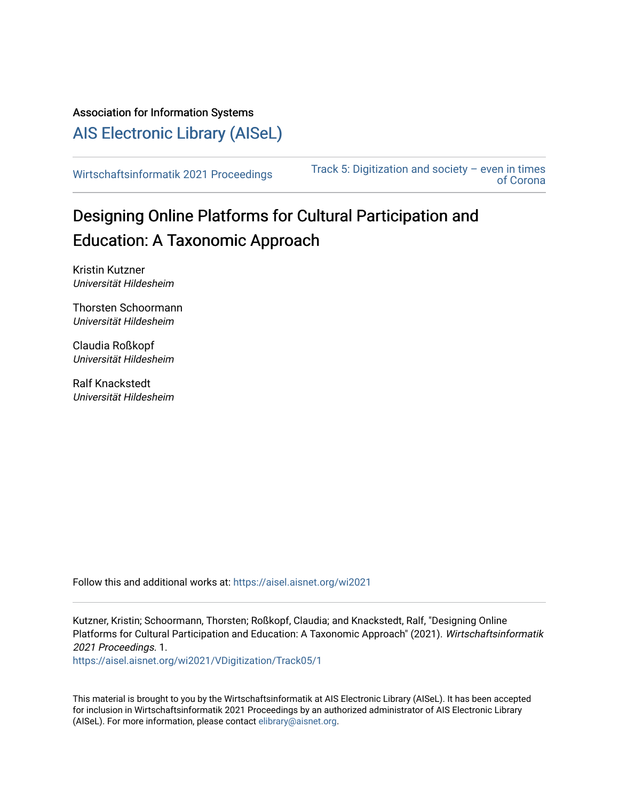Association for Information Systems

[AIS Electronic Library \(AISeL\)](https://aisel.aisnet.org/)

[Wirtschaftsinformatik 2021 Proceedings](https://aisel.aisnet.org/wi2021) Track 5: Digitization and society – even in times [of Corona](https://aisel.aisnet.org/wi2021/VDigitization) 

# Designing Online Platforms for Cultural Participation and Education: A Taxonomic Approach

Kristin Kutzner Universität Hildesheim

Thorsten Schoormann Universität Hildesheim

Claudia Roßkopf Universität Hildesheim

Ralf Knackstedt Universität Hildesheim

Follow this and additional works at: [https://aisel.aisnet.org/wi2021](https://aisel.aisnet.org/wi2021?utm_source=aisel.aisnet.org%2Fwi2021%2FVDigitization%2FTrack05%2F1&utm_medium=PDF&utm_campaign=PDFCoverPages) 

Kutzner, Kristin; Schoormann, Thorsten; Roßkopf, Claudia; and Knackstedt, Ralf, "Designing Online Platforms for Cultural Participation and Education: A Taxonomic Approach" (2021). Wirtschaftsinformatik 2021 Proceedings. 1.

[https://aisel.aisnet.org/wi2021/VDigitization/Track05/1](https://aisel.aisnet.org/wi2021/VDigitization/Track05/1?utm_source=aisel.aisnet.org%2Fwi2021%2FVDigitization%2FTrack05%2F1&utm_medium=PDF&utm_campaign=PDFCoverPages) 

This material is brought to you by the Wirtschaftsinformatik at AIS Electronic Library (AISeL). It has been accepted for inclusion in Wirtschaftsinformatik 2021 Proceedings by an authorized administrator of AIS Electronic Library (AISeL). For more information, please contact [elibrary@aisnet.org](mailto:elibrary@aisnet.org%3E).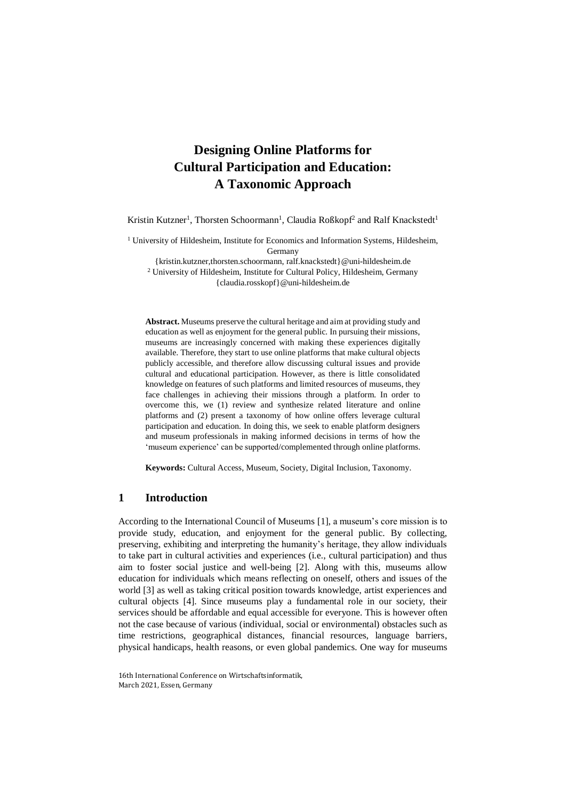# **Designing Online Platforms for Cultural Participation and Education: A Taxonomic Approach**

Kristin Kutzner<sup>1</sup>, Thorsten Schoormann<sup>1</sup>, Claudia Roßkopf<sup>2</sup> and Ralf Knackstedt<sup>1</sup>

<sup>1</sup> University of Hildesheim, Institute for Economics and Information Systems, Hildesheim, Germany

{kristin.kutzner,thorsten.schoormann, ralf.knackstedt}@uni-hildesheim.de

<sup>2</sup> University of Hildesheim, Institute for Cultural Policy, Hildesheim, Germany

{claudia.rosskopf}@uni-hildesheim.de

**Abstract.** Museums preserve the cultural heritage and aim at providing study and education as well as enjoyment for the general public. In pursuing their missions, museums are increasingly concerned with making these experiences digitally available. Therefore, they start to use online platforms that make cultural objects publicly accessible, and therefore allow discussing cultural issues and provide cultural and educational participation. However, as there is little consolidated knowledge on features of such platforms and limited resources of museums, they face challenges in achieving their missions through a platform. In order to overcome this, we (1) review and synthesize related literature and online platforms and (2) present a taxonomy of how online offers leverage cultural participation and education. In doing this, we seek to enable platform designers and museum professionals in making informed decisions in terms of how the 'museum experience' can be supported/complemented through online platforms.

**Keywords:** Cultural Access, Museum, Society, Digital Inclusion, Taxonomy.

#### **1 Introduction**

According to the International Council of Museums [1], a museum's core mission is to provide study, education, and enjoyment for the general public. By collecting, preserving, exhibiting and interpreting the humanity's heritage, they allow individuals to take part in cultural activities and experiences (i.e., cultural participation) and thus aim to foster social justice and well-being [2]. Along with this, museums allow education for individuals which means reflecting on oneself, others and issues of the world [3] as well as taking critical position towards knowledge, artist experiences and cultural objects [4]. Since museums play a fundamental role in our society, their services should be affordable and equal accessible for everyone. This is however often not the case because of various (individual, social or environmental) obstacles such as time restrictions, geographical distances, financial resources, language barriers, physical handicaps, health reasons, or even global pandemics. One way for museums

<sup>16</sup>th International Conference on Wirtschaftsinformatik, March 2021, Essen, Germany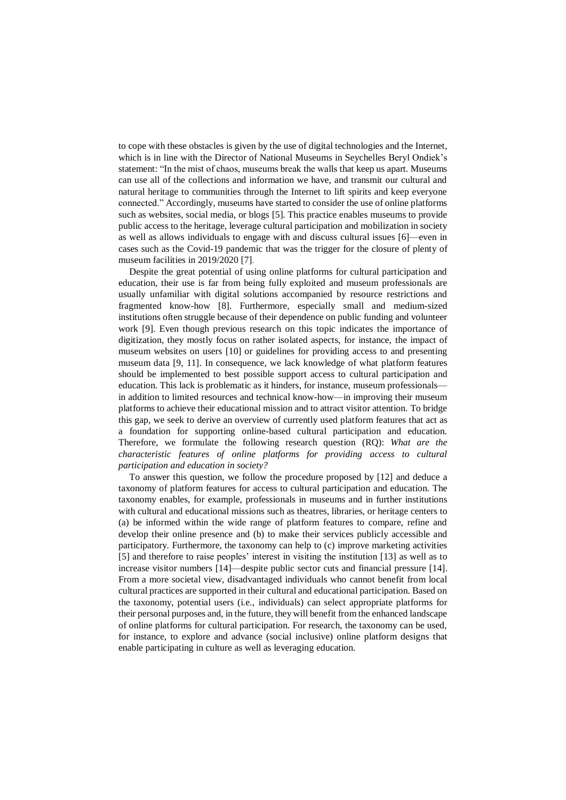to cope with these obstacles is given by the use of digital technologies and the Internet, which is in line with the Director of National Museums in Seychelles Beryl Ondiek's statement: "In the mist of chaos, museums break the walls that keep us apart. Museums can use all of the collections and information we have, and transmit our cultural and natural heritage to communities through the Internet to lift spirits and keep everyone connected." Accordingly, museums have started to consider the use of online platforms such as websites, social media, or blogs [5]. This practice enables museums to provide public access to the heritage, leverage cultural participation and mobilization in society as well as allows individuals to engage with and discuss cultural issues [6]—even in cases such as the Covid-19 pandemic that was the trigger for the closure of plenty of museum facilities in 2019/2020 [7].

Despite the great potential of using online platforms for cultural participation and education, their use is far from being fully exploited and museum professionals are usually unfamiliar with digital solutions accompanied by resource restrictions and fragmented know-how [8]. Furthermore, especially small and medium-sized institutions often struggle because of their dependence on public funding and volunteer work [9]. Even though previous research on this topic indicates the importance of digitization, they mostly focus on rather isolated aspects, for instance, the impact of museum websites on users [10] or guidelines for providing access to and presenting museum data [9, 11]. In consequence, we lack knowledge of what platform features should be implemented to best possible support access to cultural participation and education. This lack is problematic as it hinders, for instance, museum professionals in addition to limited resources and technical know-how—in improving their museum platforms to achieve their educational mission and to attract visitor attention. To bridge this gap, we seek to derive an overview of currently used platform features that act as a foundation for supporting online-based cultural participation and education. Therefore, we formulate the following research question (RQ): *What are the characteristic features of online platforms for providing access to cultural participation and education in society?*

To answer this question, we follow the procedure proposed by [12] and deduce a taxonomy of platform features for access to cultural participation and education. The taxonomy enables, for example, professionals in museums and in further institutions with cultural and educational missions such as theatres, libraries, or heritage centers to (a) be informed within the wide range of platform features to compare, refine and develop their online presence and (b) to make their services publicly accessible and participatory. Furthermore, the taxonomy can help to (c) improve marketing activities [5] and therefore to raise peoples' interest in visiting the institution [13] as well as to increase visitor numbers [14]—despite public sector cuts and financial pressure [14]. From a more societal view, disadvantaged individuals who cannot benefit from local cultural practices are supported in their cultural and educational participation. Based on the taxonomy, potential users (i.e., individuals) can select appropriate platforms for their personal purposes and, in the future, they will benefit from the enhanced landscape of online platforms for cultural participation. For research, the taxonomy can be used, for instance, to explore and advance (social inclusive) online platform designs that enable participating in culture as well as leveraging education.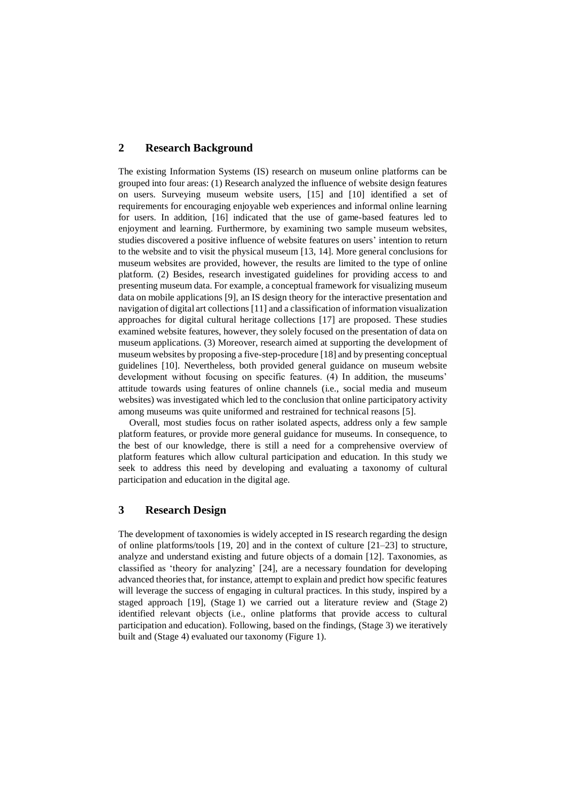### **2 Research Background**

The existing Information Systems (IS) research on museum online platforms can be grouped into four areas: (1) Research analyzed the influence of website design features on users. Surveying museum website users, [15] and [10] identified a set of requirements for encouraging enjoyable web experiences and informal online learning for users. In addition, [16] indicated that the use of game-based features led to enjoyment and learning. Furthermore, by examining two sample museum websites, studies discovered a positive influence of website features on users' intention to return to the website and to visit the physical museum [13, 14]. More general conclusions for museum websites are provided, however, the results are limited to the type of online platform. (2) Besides, research investigated guidelines for providing access to and presenting museum data. For example, a conceptual framework for visualizing museum data on mobile applications [9], an IS design theory for the interactive presentation and navigation of digital art collections [11] and a classification of information visualization approaches for digital cultural heritage collections [17] are proposed. These studies examined website features, however, they solely focused on the presentation of data on museum applications. (3) Moreover, research aimed at supporting the development of museum websites by proposing a five-step-procedure [18] and by presenting conceptual guidelines [10]. Nevertheless, both provided general guidance on museum website development without focusing on specific features. (4) In addition, the museums' attitude towards using features of online channels (i.e., social media and museum websites) was investigated which led to the conclusion that online participatory activity among museums was quite uniformed and restrained for technical reasons [5].

Overall, most studies focus on rather isolated aspects, address only a few sample platform features, or provide more general guidance for museums. In consequence, to the best of our knowledge, there is still a need for a comprehensive overview of platform features which allow cultural participation and education. In this study we seek to address this need by developing and evaluating a taxonomy of cultural participation and education in the digital age.

### **3 Research Design**

The development of taxonomies is widely accepted in IS research regarding the design of online platforms/tools [19, 20] and in the context of culture [21–23] to structure, analyze and understand existing and future objects of a domain [12]. Taxonomies, as classified as 'theory for analyzing' [24], are a necessary foundation for developing advanced theories that, for instance, attempt to explain and predict how specific features will leverage the success of engaging in cultural practices. In this study, inspired by a staged approach [19], (Stage 1) we carried out a literature review and (Stage 2) identified relevant objects (i.e., online platforms that provide access to cultural participation and education). Following, based on the findings, (Stage 3) we iteratively built and (Stage 4) evaluated our taxonomy (Figure 1).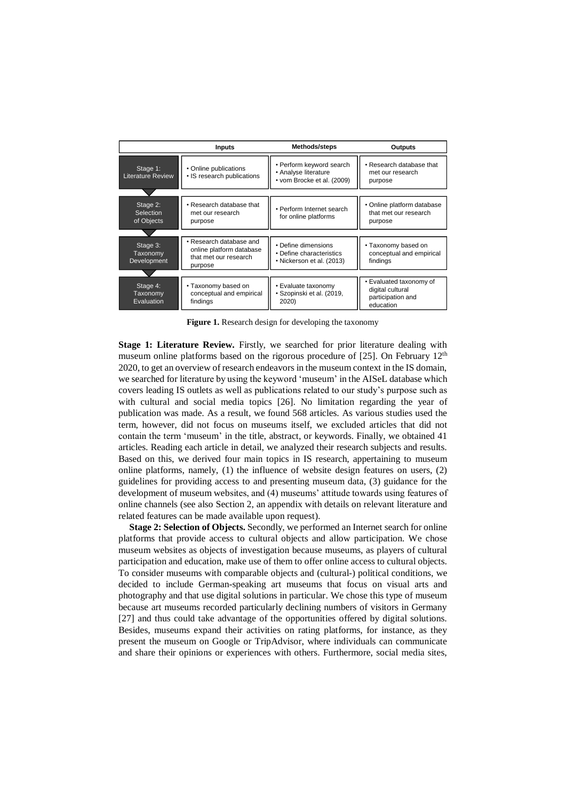|                                      | <b>Inputs</b>                                                                           | Methods/steps                                                                  | Outputs                                                                       |  |  |  |  |
|--------------------------------------|-----------------------------------------------------------------------------------------|--------------------------------------------------------------------------------|-------------------------------------------------------------------------------|--|--|--|--|
| Stage 1:<br><b>Literature Review</b> | • Online publications<br>• IS research publications                                     | • Perform keyword search<br>• Analyse literature<br>• vom Brocke et al. (2009) | • Research database that<br>met our research<br>purpose                       |  |  |  |  |
|                                      |                                                                                         |                                                                                |                                                                               |  |  |  |  |
| Stage 2:<br>Selection<br>of Objects  | • Research database that<br>met our research<br>purpose                                 | • Perform Internet search<br>for online platforms                              | • Online platform database<br>that met our research<br>purpose                |  |  |  |  |
|                                      |                                                                                         |                                                                                |                                                                               |  |  |  |  |
| Stage 3:<br>Taxonomy<br>Development  | • Research database and<br>online platform database<br>that met our research<br>purpose | • Define dimensions<br>• Define characteristics<br>• Nickerson et al. (2013)   | • Taxonomy based on<br>conceptual and empirical<br>findings                   |  |  |  |  |
|                                      |                                                                                         |                                                                                |                                                                               |  |  |  |  |
| Stage 4:<br>Taxonomy<br>Evaluation   | • Taxonomy based on<br>conceptual and empirical<br>findings                             | • Evaluate taxonomy<br>· Szopinski et al. (2019,<br>2020)                      | • Evaluated taxonomy of<br>digital cultural<br>participation and<br>education |  |  |  |  |

**Figure 1.** Research design for developing the taxonomy

**Stage 1: Literature Review.** Firstly, we searched for prior literature dealing with museum online platforms based on the rigorous procedure of [25]. On February 12<sup>th</sup> 2020, to get an overview of research endeavors in the museum context in the IS domain, we searched for literature by using the keyword 'museum' in the AISeL database which covers leading IS outlets as well as publications related to our study's purpose such as with cultural and social media topics [26]. No limitation regarding the year of publication was made. As a result, we found 568 articles. As various studies used the term, however, did not focus on museums itself, we excluded articles that did not contain the term 'museum' in the title, abstract, or keywords. Finally, we obtained 41 articles. Reading each article in detail, we analyzed their research subjects and results. Based on this, we derived four main topics in IS research, appertaining to museum online platforms, namely, (1) the influence of website design features on users, (2) guidelines for providing access to and presenting museum data, (3) guidance for the development of museum websites, and (4) museums' attitude towards using features of online channels (see also Section 2, an appendix with details on relevant literature and related features can be made available upon request).

**Stage 2: Selection of Objects.** Secondly, we performed an Internet search for online platforms that provide access to cultural objects and allow participation. We chose museum websites as objects of investigation because museums, as players of cultural participation and education, make use of them to offer online access to cultural objects. To consider museums with comparable objects and (cultural-) political conditions, we decided to include German-speaking art museums that focus on visual arts and photography and that use digital solutions in particular. We chose this type of museum because art museums recorded particularly declining numbers of visitors in Germany [27] and thus could take advantage of the opportunities offered by digital solutions. Besides, museums expand their activities on rating platforms, for instance, as they present the museum on Google or TripAdvisor, where individuals can communicate and share their opinions or experiences with others. Furthermore, social media sites,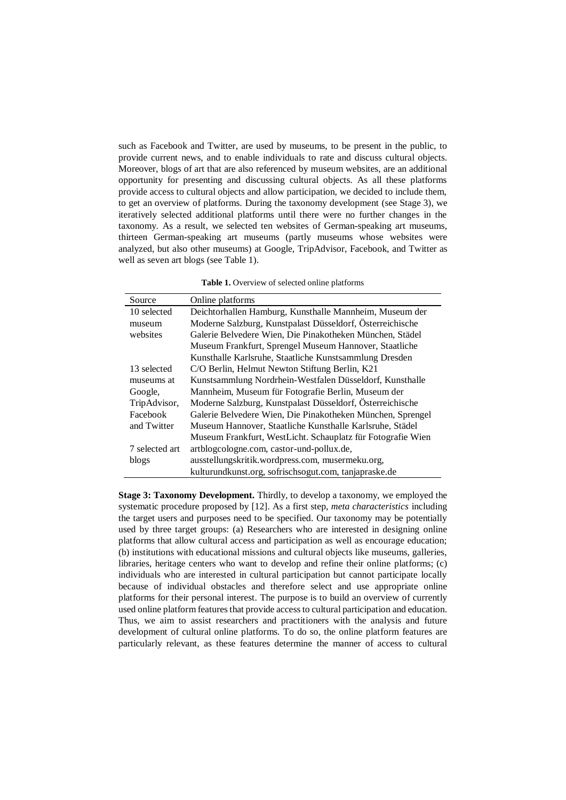such as Facebook and Twitter, are used by museums, to be present in the public, to provide current news, and to enable individuals to rate and discuss cultural objects. Moreover, blogs of art that are also referenced by museum websites, are an additional opportunity for presenting and discussing cultural objects. As all these platforms provide access to cultural objects and allow participation, we decided to include them, to get an overview of platforms. During the taxonomy development (see Stage 3), we iteratively selected additional platforms until there were no further changes in the taxonomy. As a result, we selected ten websites of German-speaking art museums, thirteen German-speaking art museums (partly museums whose websites were analyzed, but also other museums) at Google, TripAdvisor, Facebook, and Twitter as well as seven art blogs (see Table 1).

**Table 1.** Overview of selected online platforms

| Source         | Online platforms                                            |  |  |  |  |  |  |
|----------------|-------------------------------------------------------------|--|--|--|--|--|--|
| 10 selected    | Deichtorhallen Hamburg, Kunsthalle Mannheim, Museum der     |  |  |  |  |  |  |
| museum         | Moderne Salzburg, Kunstpalast Düsseldorf, Österreichische   |  |  |  |  |  |  |
| websites       | Galerie Belvedere Wien, Die Pinakotheken München, Städel    |  |  |  |  |  |  |
|                | Museum Frankfurt, Sprengel Museum Hannover, Staatliche      |  |  |  |  |  |  |
|                | Kunsthalle Karlsruhe, Staatliche Kunstsammlung Dresden      |  |  |  |  |  |  |
| 13 selected    | C/O Berlin, Helmut Newton Stiftung Berlin, K21              |  |  |  |  |  |  |
| museums at     | Kunstsammlung Nordrhein-Westfalen Düsseldorf, Kunsthalle    |  |  |  |  |  |  |
| Google,        | Mannheim, Museum für Fotografie Berlin, Museum der          |  |  |  |  |  |  |
| TripAdvisor,   | Moderne Salzburg, Kunstpalast Düsseldorf, Österreichische   |  |  |  |  |  |  |
| Facebook       | Galerie Belvedere Wien, Die Pinakotheken München, Sprengel  |  |  |  |  |  |  |
| and Twitter    | Museum Hannover, Staatliche Kunsthalle Karlsruhe, Städel    |  |  |  |  |  |  |
|                | Museum Frankfurt, WestLicht. Schauplatz für Fotografie Wien |  |  |  |  |  |  |
| 7 selected art | artblogcologne.com, castor-und-pollux.de,                   |  |  |  |  |  |  |
| blogs          | ausstellungskritik.wordpress.com, musermeku.org,            |  |  |  |  |  |  |
|                | kulturundkunst.org, sofrischsogut.com, tanjapraske.de       |  |  |  |  |  |  |

**Stage 3: Taxonomy Development.** Thirdly, to develop a taxonomy, we employed the systematic procedure proposed by [12]. As a first step, *meta characteristics* including the target users and purposes need to be specified. Our taxonomy may be potentially used by three target groups: (a) Researchers who are interested in designing online platforms that allow cultural access and participation as well as encourage education; (b) institutions with educational missions and cultural objects like museums, galleries, libraries, heritage centers who want to develop and refine their online platforms; (c) individuals who are interested in cultural participation but cannot participate locally because of individual obstacles and therefore select and use appropriate online platforms for their personal interest. The purpose is to build an overview of currently used online platform features that provide access to cultural participation and education. Thus, we aim to assist researchers and practitioners with the analysis and future development of cultural online platforms. To do so, the online platform features are particularly relevant, as these features determine the manner of access to cultural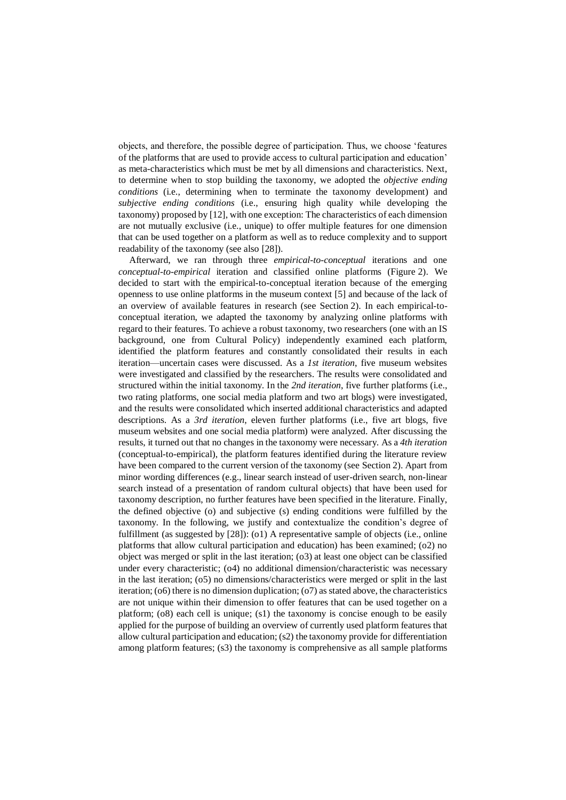objects, and therefore, the possible degree of participation. Thus, we choose 'features of the platforms that are used to provide access to cultural participation and education' as meta-characteristics which must be met by all dimensions and characteristics. Next, to determine when to stop building the taxonomy, we adopted the *objective ending conditions* (i.e., determining when to terminate the taxonomy development) and *subjective ending conditions* (i.e., ensuring high quality while developing the taxonomy) proposed by [12], with one exception: The characteristics of each dimension are not mutually exclusive (i.e., unique) to offer multiple features for one dimension that can be used together on a platform as well as to reduce complexity and to support readability of the taxonomy (see also [28]).

Afterward, we ran through three *empirical-to-conceptual* iterations and one *conceptual-to-empirical* iteration and classified online platforms (Figure 2). We decided to start with the empirical-to-conceptual iteration because of the emerging openness to use online platforms in the museum context [5] and because of the lack of an overview of available features in research (see Section 2). In each empirical-toconceptual iteration, we adapted the taxonomy by analyzing online platforms with regard to their features. To achieve a robust taxonomy, two researchers (one with an IS background, one from Cultural Policy) independently examined each platform, identified the platform features and constantly consolidated their results in each iteration—uncertain cases were discussed. As a *1st iteration*, five museum websites were investigated and classified by the researchers. The results were consolidated and structured within the initial taxonomy. In the *2nd iteration*, five further platforms (i.e., two rating platforms, one social media platform and two art blogs) were investigated, and the results were consolidated which inserted additional characteristics and adapted descriptions. As a *3rd iteration*, eleven further platforms (i.e., five art blogs, five museum websites and one social media platform) were analyzed. After discussing the results, it turned out that no changes in the taxonomy were necessary. As a *4th iteration* (conceptual-to-empirical), the platform features identified during the literature review have been compared to the current version of the taxonomy (see Section 2). Apart from minor wording differences (e.g., linear search instead of user-driven search, non-linear search instead of a presentation of random cultural objects) that have been used for taxonomy description, no further features have been specified in the literature. Finally, the defined objective (o) and subjective (s) ending conditions were fulfilled by the taxonomy. In the following, we justify and contextualize the condition's degree of fulfillment (as suggested by [28]): (o1) A representative sample of objects (i.e., online platforms that allow cultural participation and education) has been examined; (o2) no object was merged or split in the last iteration; (o3) at least one object can be classified under every characteristic; (o4) no additional dimension/characteristic was necessary in the last iteration; (o5) no dimensions/characteristics were merged or split in the last iteration; (o6) there is no dimension duplication; (o7) as stated above, the characteristics are not unique within their dimension to offer features that can be used together on a platform; (o8) each cell is unique; (s1) the taxonomy is concise enough to be easily applied for the purpose of building an overview of currently used platform features that allow cultural participation and education; (s2) the taxonomy provide for differentiation among platform features; (s3) the taxonomy is comprehensive as all sample platforms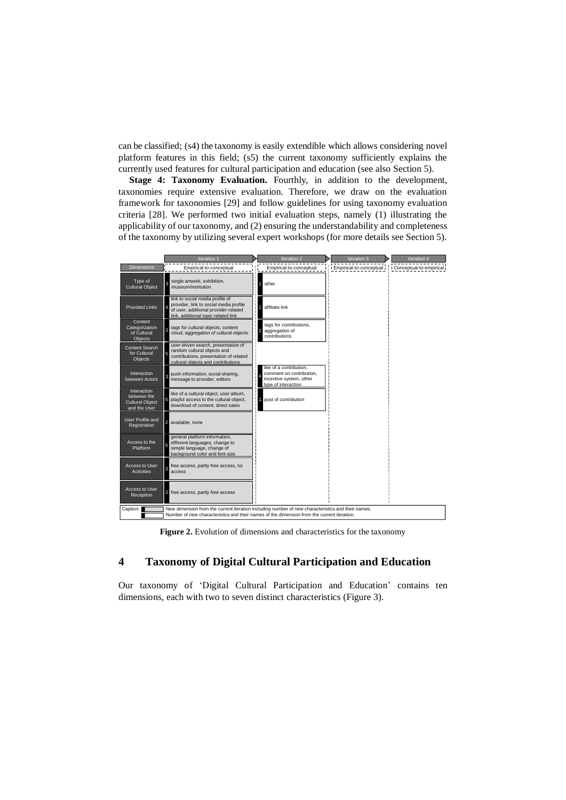can be classified; (s4) the taxonomy is easily extendible which allows considering novel platform features in this field; (s5) the current taxonomy sufficiently explains the currently used features for cultural participation and education (see also Section 5).

**Stage 4: Taxonomy Evaluation.** Fourthly, in addition to the development, taxonomies require extensive evaluation. Therefore, we draw on the evaluation framework for taxonomies [29] and follow guidelines for using taxonomy evaluation criteria [28]. We performed two initial evaluation steps, namely (1) illustrating the applicability of our taxonomy, and (2) ensuring the understandability and completeness of the taxonomy by utilizing several expert workshops (for more details see Section 5).



**Figure 2.** Evolution of dimensions and characteristics for the taxonomy

# **4 Taxonomy of Digital Cultural Participation and Education**

Our taxonomy of 'Digital Cultural Participation and Education' contains ten dimensions, each with two to seven distinct characteristics (Figure 3).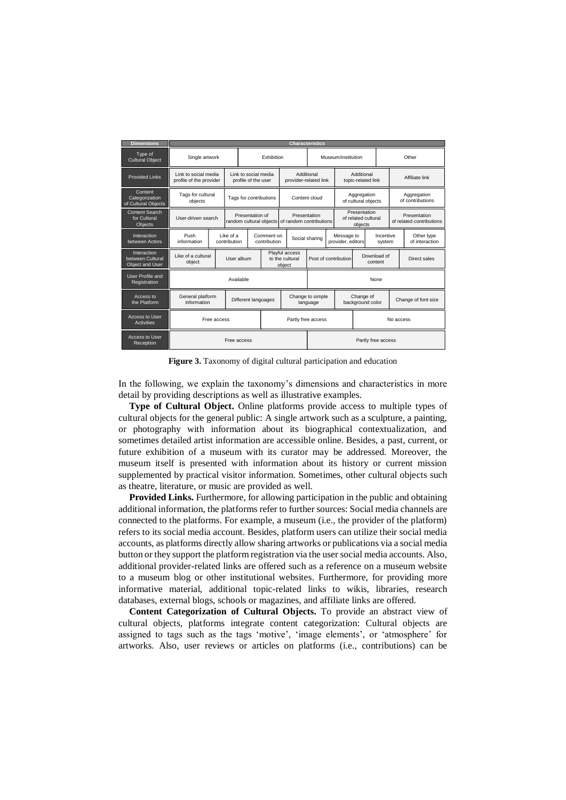| <b>Dimensions</b>                                         | Characteristics                                 |  |                                            |                                             |                            |                              |                                                           |                                                   |                               |                                                |                        |                                 |                                          |                              |
|-----------------------------------------------------------|-------------------------------------------------|--|--------------------------------------------|---------------------------------------------|----------------------------|------------------------------|-----------------------------------------------------------|---------------------------------------------------|-------------------------------|------------------------------------------------|------------------------|---------------------------------|------------------------------------------|------------------------------|
| Type of<br><b>Cultural Obiect</b>                         | Single artwork                                  |  |                                            | Exhibition                                  |                            |                              | Museum/institution                                        |                                                   |                               |                                                | Other                  |                                 |                                          |                              |
| <b>Provided Links</b>                                     | Link to social media<br>profile of the provider |  |                                            | Link to social media<br>profile of the user |                            |                              | Additional<br>provider-related link                       |                                                   |                               | Additional<br>topic-related link               |                        |                                 | Affiliate link                           |                              |
| Content<br>Categorization<br>of Cultural Objects          | Tags for cultural<br>objects                    |  |                                            | Tags for contributions                      |                            |                              | Content cloud                                             |                                                   |                               | Aggregation<br>of cultural objects             |                        | Aggregation<br>of contributions |                                          |                              |
| Content Search<br>for Cultural<br>Objects                 | User-driven search                              |  | Presentation of<br>random cultural objects |                                             |                            |                              | Presentation<br>of random contributions                   |                                                   |                               | Presentation<br>of related cultural<br>objects |                        |                                 | Presentation<br>of related contributions |                              |
| Interaction<br>between Actors                             | Push<br>information                             |  | Like of a<br>contribution                  |                                             | Comment on<br>contribution |                              |                                                           | Message to<br>Social sharing<br>provider, editors |                               |                                                | Incentive<br>system    |                                 |                                          | Other type<br>of interaction |
| Interaction<br>between Cultural<br><b>Object and User</b> | Like of a cultural<br>object                    |  | User album                                 |                                             |                            | object                       | Playful access<br>to the cultural<br>Post of contribution |                                                   |                               |                                                | Download of<br>content |                                 |                                          | Direct sales                 |
| User Profile and<br>Registration                          | Available                                       |  |                                            |                                             |                            |                              |                                                           | None                                              |                               |                                                |                        |                                 |                                          |                              |
| Access to<br>the Platform                                 | General platform<br>information                 |  | Different languages                        |                                             |                            | Change to simple<br>language |                                                           |                                                   | Change of<br>background color |                                                |                        | Change of font size             |                                          |                              |
| Access to User<br><b>Activities</b>                       | Free access                                     |  |                                            |                                             | Partly free access         |                              |                                                           |                                                   | No access                     |                                                |                        |                                 |                                          |                              |
| Access to User<br>Reception                               | Free access                                     |  |                                            |                                             |                            | Partly free access           |                                                           |                                                   |                               |                                                |                        |                                 |                                          |                              |

**Figure 3.** Taxonomy of digital cultural participation and education

In the following, we explain the taxonomy's dimensions and characteristics in more detail by providing descriptions as well as illustrative examples.

**Type of Cultural Object.** Online platforms provide access to multiple types of cultural objects for the general public: A single artwork such as a sculpture, a painting, or photography with information about its biographical contextualization, and sometimes detailed artist information are accessible online. Besides, a past, current, or future exhibition of a museum with its curator may be addressed. Moreover, the museum itself is presented with information about its history or current mission supplemented by practical visitor information. Sometimes, other cultural objects such as theatre, literature, or music are provided as well.

**Provided Links.** Furthermore, for allowing participation in the public and obtaining additional information, the platforms refer to further sources: Social media channels are connected to the platforms. For example, a museum (i.e., the provider of the platform) refers to its social media account. Besides, platform users can utilize their social media accounts, as platforms directly allow sharing artworks or publications via a social media button or they support the platform registration via the user social media accounts. Also, additional provider-related links are offered such as a reference on a museum website to a museum blog or other institutional websites. Furthermore, for providing more informative material, additional topic-related links to wikis, libraries, research databases, external blogs, schools or magazines, and affiliate links are offered.

**Content Categorization of Cultural Objects.** To provide an abstract view of cultural objects, platforms integrate content categorization: Cultural objects are assigned to tags such as the tags 'motive', 'image elements', or 'atmosphere' for artworks. Also, user reviews or articles on platforms (i.e., contributions) can be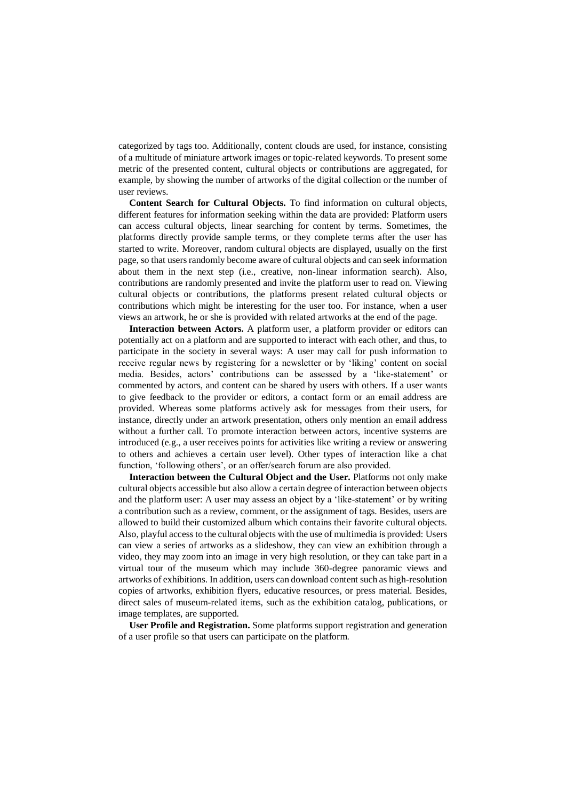categorized by tags too. Additionally, content clouds are used, for instance, consisting of a multitude of miniature artwork images or topic-related keywords. To present some metric of the presented content, cultural objects or contributions are aggregated, for example, by showing the number of artworks of the digital collection or the number of user reviews.

**Content Search for Cultural Objects.** To find information on cultural objects, different features for information seeking within the data are provided: Platform users can access cultural objects, linear searching for content by terms. Sometimes, the platforms directly provide sample terms, or they complete terms after the user has started to write. Moreover, random cultural objects are displayed, usually on the first page, so that users randomly become aware of cultural objects and can seek information about them in the next step (i.e., creative, non-linear information search). Also, contributions are randomly presented and invite the platform user to read on. Viewing cultural objects or contributions, the platforms present related cultural objects or contributions which might be interesting for the user too. For instance, when a user views an artwork, he or she is provided with related artworks at the end of the page.

**Interaction between Actors.** A platform user, a platform provider or editors can potentially act on a platform and are supported to interact with each other, and thus, to participate in the society in several ways: A user may call for push information to receive regular news by registering for a newsletter or by 'liking' content on social media. Besides, actors' contributions can be assessed by a 'like-statement' or commented by actors, and content can be shared by users with others. If a user wants to give feedback to the provider or editors, a contact form or an email address are provided. Whereas some platforms actively ask for messages from their users, for instance, directly under an artwork presentation, others only mention an email address without a further call. To promote interaction between actors, incentive systems are introduced (e.g., a user receives points for activities like writing a review or answering to others and achieves a certain user level). Other types of interaction like a chat function, 'following others', or an offer/search forum are also provided.

**Interaction between the Cultural Object and the User.** Platforms not only make cultural objects accessible but also allow a certain degree of interaction between objects and the platform user: A user may assess an object by a 'like-statement' or by writing a contribution such as a review, comment, or the assignment of tags. Besides, users are allowed to build their customized album which contains their favorite cultural objects. Also, playful access to the cultural objects with the use of multimedia is provided: Users can view a series of artworks as a slideshow, they can view an exhibition through a video, they may zoom into an image in very high resolution, or they can take part in a virtual tour of the museum which may include 360-degree panoramic views and artworks of exhibitions. In addition, users can download content such as high-resolution copies of artworks, exhibition flyers, educative resources, or press material. Besides, direct sales of museum-related items, such as the exhibition catalog, publications, or image templates, are supported.

**User Profile and Registration.** Some platforms support registration and generation of a user profile so that users can participate on the platform.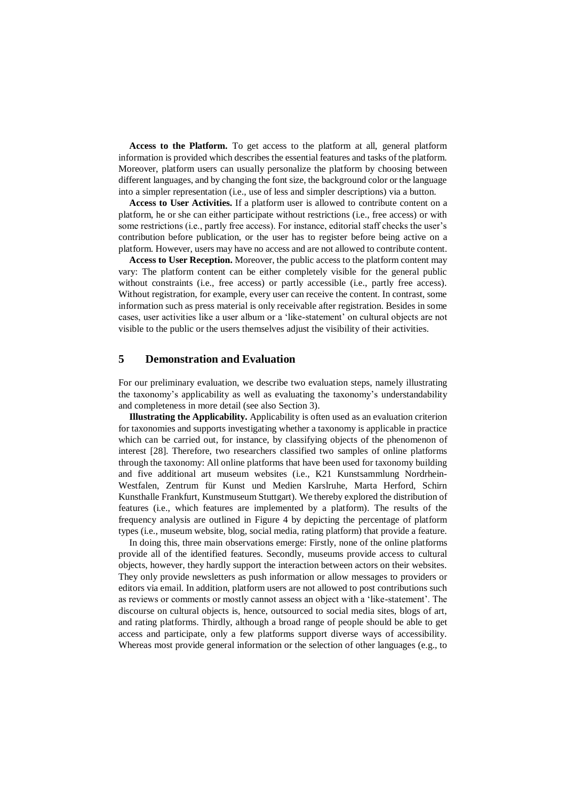**Access to the Platform.** To get access to the platform at all, general platform information is provided which describes the essential features and tasks of the platform. Moreover, platform users can usually personalize the platform by choosing between different languages, and by changing the font size, the background color or the language into a simpler representation (i.e., use of less and simpler descriptions) via a button.

**Access to User Activities.** If a platform user is allowed to contribute content on a platform, he or she can either participate without restrictions (i.e., free access) or with some restrictions (i.e., partly free access). For instance, editorial staff checks the user's contribution before publication, or the user has to register before being active on a platform. However, users may have no access and are not allowed to contribute content.

**Access to User Reception.** Moreover, the public access to the platform content may vary: The platform content can be either completely visible for the general public without constraints (i.e., free access) or partly accessible (i.e., partly free access). Without registration, for example, every user can receive the content. In contrast, some information such as press material is only receivable after registration. Besides in some cases, user activities like a user album or a 'like-statement' on cultural objects are not visible to the public or the users themselves adjust the visibility of their activities.

# **5 Demonstration and Evaluation**

For our preliminary evaluation, we describe two evaluation steps, namely illustrating the taxonomy's applicability as well as evaluating the taxonomy's understandability and completeness in more detail (see also Section 3).

**Illustrating the Applicability.** Applicability is often used as an evaluation criterion for taxonomies and supports investigating whether a taxonomy is applicable in practice which can be carried out, for instance, by classifying objects of the phenomenon of interest [28]. Therefore, two researchers classified two samples of online platforms through the taxonomy: All online platforms that have been used for taxonomy building and five additional art museum websites (i.e., K21 Kunstsammlung Nordrhein-Westfalen, Zentrum für Kunst und Medien Karslruhe, Marta Herford, Schirn Kunsthalle Frankfurt, Kunstmuseum Stuttgart). We thereby explored the distribution of features (i.e., which features are implemented by a platform). The results of the frequency analysis are outlined in Figure 4 by depicting the percentage of platform types (i.e., museum website, blog, social media, rating platform) that provide a feature.

In doing this, three main observations emerge: Firstly, none of the online platforms provide all of the identified features. Secondly, museums provide access to cultural objects, however, they hardly support the interaction between actors on their websites. They only provide newsletters as push information or allow messages to providers or editors via email. In addition, platform users are not allowed to post contributions such as reviews or comments or mostly cannot assess an object with a 'like-statement'. The discourse on cultural objects is, hence, outsourced to social media sites, blogs of art, and rating platforms. Thirdly, although a broad range of people should be able to get access and participate, only a few platforms support diverse ways of accessibility. Whereas most provide general information or the selection of other languages (e.g., to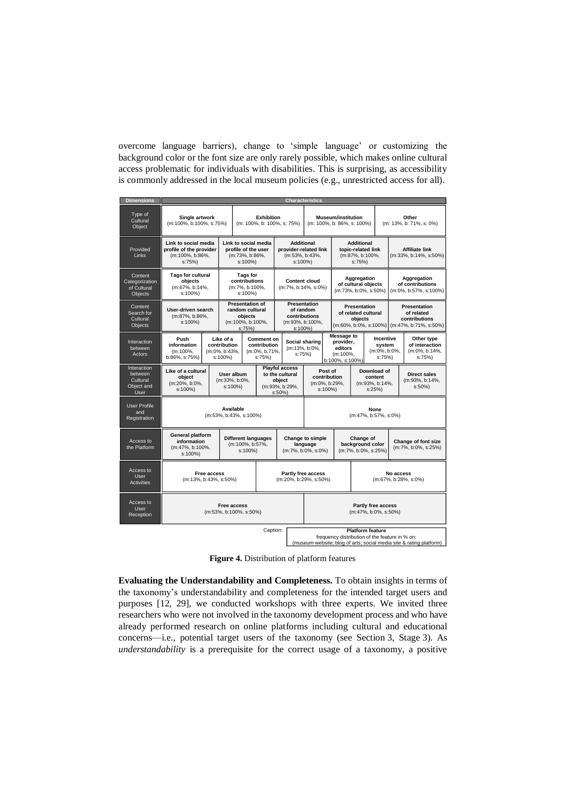overcome language barriers), change to 'simple language' or customizing the background color or the font size are only rarely possible, which makes online cultural access problematic for individuals with disabilities. This is surprising, as accessibility is commonly addressed in the local museum policies (e.g., unrestricted access for all).

| <b>Dimensions</b>                                               | <b>Characteristics</b>                                                                                                    |                                                                                   |                                                                            |                                                              |                                                                          |                                                                                                                                         |                                                                                          |                                                                           |                                                   |                                                                                            |                                                                     |
|-----------------------------------------------------------------|---------------------------------------------------------------------------------------------------------------------------|-----------------------------------------------------------------------------------|----------------------------------------------------------------------------|--------------------------------------------------------------|--------------------------------------------------------------------------|-----------------------------------------------------------------------------------------------------------------------------------------|------------------------------------------------------------------------------------------|---------------------------------------------------------------------------|---------------------------------------------------|--------------------------------------------------------------------------------------------|---------------------------------------------------------------------|
| Type of<br>Cultural<br>Object                                   | Single artwork<br>(m:100%, b:100%, s:75%)                                                                                 |                                                                                   | <b>Exhibition</b>                                                          | (m: 100%, b: 100%, s: 75%)                                   | (m: 100%, b: 86%, s: 100%)                                               | <b>Museum/institution</b>                                                                                                               |                                                                                          |                                                                           | Other<br>(m: 13%, b: 71%, s: 0%)                  |                                                                                            |                                                                     |
| Provided<br><b>Links</b>                                        | Link to social media<br>profile of the provider<br>(m:100%, b:86%,<br>$s:75\%$                                            |                                                                                   | Link to social media<br>profile of the user<br>(m:73%, b:86%,<br>$s:100\%$ |                                                              | <b>Additional</b><br>provider-related link<br>(m:53%, b:43%,<br>s:100%)  |                                                                                                                                         | <b>Additional</b><br>topic-related link<br>(m:87%, b:100%,<br>s:75%                      |                                                                           |                                                   | <b>Affiliate link</b><br>(m:33%, b:14%, s:50%)                                             |                                                                     |
| Content<br>Categorization<br>of Cultural<br>Objects             | <b>Tags for cultural</b><br>objects<br>(m:67%, b:14%,<br>s:100%)                                                          | Tags for<br>contributions<br>(m:7%, b:100%,<br>s:100%)                            |                                                                            | <b>Content cloud</b><br>(m:7%, b:14%, s:0%)                  |                                                                          | Aggregation<br>of cultural objects<br>(m:73%, b:0%, s:50%)                                                                              |                                                                                          |                                                                           |                                                   | Aggregation<br>of contributions<br>(m:0%, b:57%, s:100%)                                   |                                                                     |
| Content<br>Search for<br>Cultural<br>Objects                    | User-driven search<br>(m:87%, b:86%,<br>s:100%)                                                                           | <b>Presentation of</b><br>random cultural<br>objects<br>(m:100%, b:100%,<br>s:75% |                                                                            |                                                              | Presentation<br>of random<br>contributions<br>(m:93%, b:100%,<br>s:100%) |                                                                                                                                         | Presentation<br>of related cultural<br>objects                                           |                                                                           |                                                   | Presentation<br>of related<br>contributions<br>(m:60%, b:0%, s:100%) (m:47%, b:71%, s:50%) |                                                                     |
| Interaction<br>between<br>Actors                                | Push<br>information<br>(m:100%,<br>b:86%, s:75%)                                                                          | Like of a<br>contribution<br>(m:0%, b:43%,<br>s:100%)                             |                                                                            | <b>Comment on</b><br>contribution<br>(m:0%, b:71%,<br>s:75%) | Social sharing<br>(m:13%, b:0%,<br>s:75%)                                |                                                                                                                                         | <b>Message to</b><br>provider.<br>editors<br>(m:0%, b:0%,<br>(m:100%,<br>b:100%, s:100%) |                                                                           | Incentive<br>system<br>s:75%)                     |                                                                                            | Other type<br>of interaction<br>(m:0%, b:14%,<br>s:75%)             |
| <b>Interaction</b><br>between<br>Cultural<br>Object and<br>User | object<br>(m:20%, b:0%,<br>s:100%)                                                                                        | Like of a cultural<br>User album<br>(m:33%, b:0%,<br>s:100%)                      |                                                                            |                                                              |                                                                          | <b>Playful access</b><br>Post of<br>to the cultural<br>contribution<br>object<br>(m:0%, b:29%,<br>(m:93%, b:29%,<br>s:100%)<br>$s:50\%$ |                                                                                          |                                                                           | Download of<br>content<br>(m:93%, b:14%,<br>s:25% |                                                                                            | <b>Direct sales</b><br>(m:93%, b:14%,<br>$s:50\%$                   |
| <b>User Profile</b><br>and<br>Registration                      | (m:53%, b:43%, s:100%)                                                                                                    |                                                                                   | None<br>(m:47%, b:57%, s:0%)                                               |                                                              |                                                                          |                                                                                                                                         |                                                                                          |                                                                           |                                                   |                                                                                            |                                                                     |
| Access to<br>the Platform                                       | General platform<br><b>Different languages</b><br>information<br>(m:100%, b:57%,<br>(m:47%, b:100%,<br>s:100%)<br>s:100%) |                                                                                   |                                                                            |                                                              | Change to simple<br>language<br>(m:7%, b:0%, s:0%)                       |                                                                                                                                         |                                                                                          | Change of<br>background color<br>(m:7%, b:0%, s:25%)                      |                                                   |                                                                                            | Change of font size<br>(m:7%, b:0%, s:25%)                          |
| Access to<br><b>User</b><br><b>Activities</b>                   | <b>Free access</b><br>(m:13%, b:43%, s:50%)                                                                               | Partly free access<br>(m:20%, b:29%, s:50%)                                       |                                                                            |                                                              | No access<br>(m:67%, b:28%, s:0%)                                        |                                                                                                                                         |                                                                                          |                                                                           |                                                   |                                                                                            |                                                                     |
| Access to<br>User<br>Reception                                  | (m:53%, b:100%, s:50%)                                                                                                    |                                                                                   | Partly free access<br>(m:47%, b:0%, s:50%)                                 |                                                              |                                                                          |                                                                                                                                         |                                                                                          |                                                                           |                                                   |                                                                                            |                                                                     |
|                                                                 |                                                                                                                           |                                                                                   |                                                                            | Caption:                                                     |                                                                          |                                                                                                                                         |                                                                                          | <b>Platform feature</b><br>frequency distribution of the feature in % on: |                                                   |                                                                                            | (museum website; blog of arts; social media site & rating platform) |

**Figure 4.** Distribution of platform features

**Evaluating the Understandability and Completeness.** To obtain insights in terms of the taxonomy's understandability and completeness for the intended target users and purposes [12, 29], we conducted workshops with three experts. We invited three researchers who were not involved in the taxonomy development process and who have already performed research on online platforms including cultural and educational concerns—i.e., potential target users of the taxonomy (see Section 3, Stage 3). As *understandability* is a prerequisite for the correct usage of a taxonomy, a positive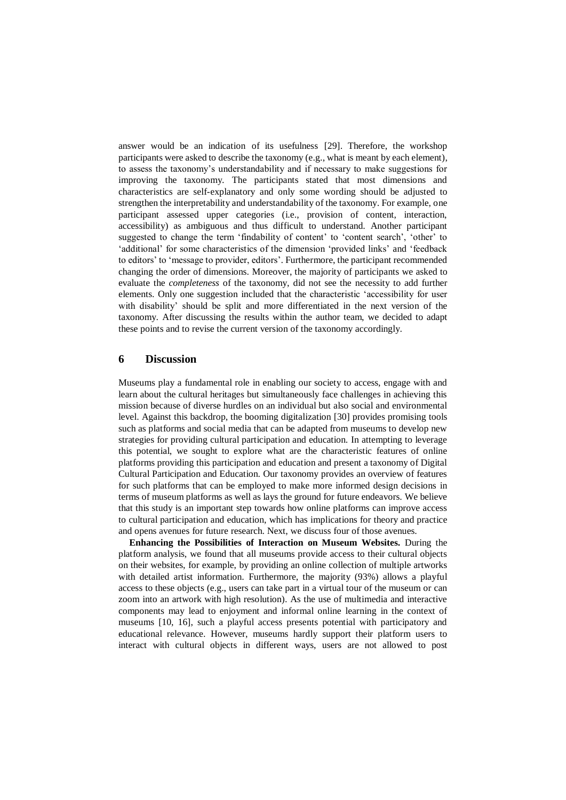answer would be an indication of its usefulness [29]. Therefore, the workshop participants were asked to describe the taxonomy (e.g., what is meant by each element), to assess the taxonomy's understandability and if necessary to make suggestions for improving the taxonomy. The participants stated that most dimensions and characteristics are self-explanatory and only some wording should be adjusted to strengthen the interpretability and understandability of the taxonomy. For example, one participant assessed upper categories (i.e., provision of content, interaction, accessibility) as ambiguous and thus difficult to understand. Another participant suggested to change the term 'findability of content' to 'content search', 'other' to 'additional' for some characteristics of the dimension 'provided links' and 'feedback to editors' to 'message to provider, editors'. Furthermore, the participant recommended changing the order of dimensions. Moreover, the majority of participants we asked to evaluate the *completeness* of the taxonomy, did not see the necessity to add further elements. Only one suggestion included that the characteristic 'accessibility for user with disability' should be split and more differentiated in the next version of the taxonomy. After discussing the results within the author team, we decided to adapt these points and to revise the current version of the taxonomy accordingly.

#### **6 Discussion**

Museums play a fundamental role in enabling our society to access, engage with and learn about the cultural heritages but simultaneously face challenges in achieving this mission because of diverse hurdles on an individual but also social and environmental level. Against this backdrop, the booming digitalization [30] provides promising tools such as platforms and social media that can be adapted from museums to develop new strategies for providing cultural participation and education. In attempting to leverage this potential, we sought to explore what are the characteristic features of online platforms providing this participation and education and present a taxonomy of Digital Cultural Participation and Education. Our taxonomy provides an overview of features for such platforms that can be employed to make more informed design decisions in terms of museum platforms as well as lays the ground for future endeavors. We believe that this study is an important step towards how online platforms can improve access to cultural participation and education, which has implications for theory and practice and opens avenues for future research. Next, we discuss four of those avenues.

**Enhancing the Possibilities of Interaction on Museum Websites.** During the platform analysis, we found that all museums provide access to their cultural objects on their websites, for example, by providing an online collection of multiple artworks with detailed artist information. Furthermore, the majority (93%) allows a playful access to these objects (e.g., users can take part in a virtual tour of the museum or can zoom into an artwork with high resolution). As the use of multimedia and interactive components may lead to enjoyment and informal online learning in the context of museums [10, 16], such a playful access presents potential with participatory and educational relevance. However, museums hardly support their platform users to interact with cultural objects in different ways, users are not allowed to post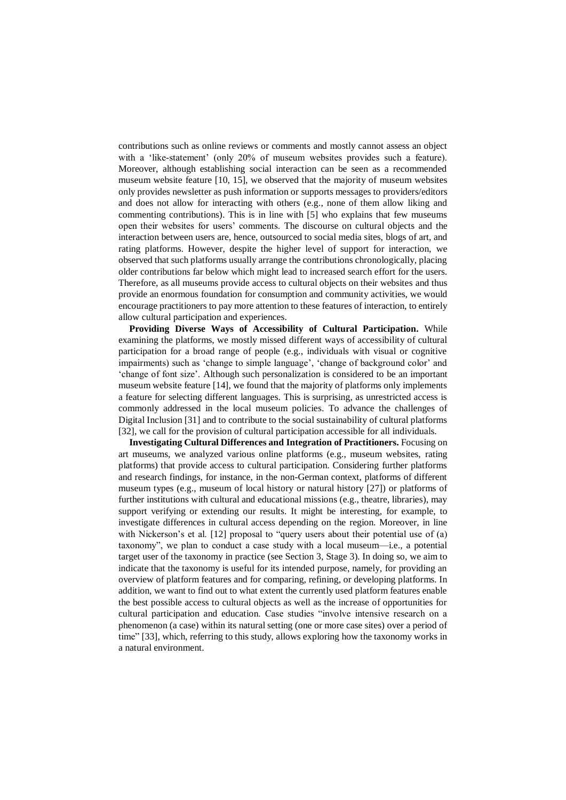contributions such as online reviews or comments and mostly cannot assess an object with a 'like-statement' (only 20% of museum websites provides such a feature). Moreover, although establishing social interaction can be seen as a recommended museum website feature [10, 15], we observed that the majority of museum websites only provides newsletter as push information or supports messages to providers/editors and does not allow for interacting with others (e.g., none of them allow liking and commenting contributions). This is in line with [5] who explains that few museums open their websites for users' comments. The discourse on cultural objects and the interaction between users are, hence, outsourced to social media sites, blogs of art, and rating platforms. However, despite the higher level of support for interaction, we observed that such platforms usually arrange the contributions chronologically, placing older contributions far below which might lead to increased search effort for the users. Therefore, as all museums provide access to cultural objects on their websites and thus provide an enormous foundation for consumption and community activities, we would encourage practitioners to pay more attention to these features of interaction, to entirely allow cultural participation and experiences.

**Providing Diverse Ways of Accessibility of Cultural Participation.** While examining the platforms, we mostly missed different ways of accessibility of cultural participation for a broad range of people (e.g., individuals with visual or cognitive impairments) such as 'change to simple language', 'change of background color' and 'change of font size'. Although such personalization is considered to be an important museum website feature [14], we found that the majority of platforms only implements a feature for selecting different languages. This is surprising, as unrestricted access is commonly addressed in the local museum policies. To advance the challenges of Digital Inclusion [31] and to contribute to the social sustainability of cultural platforms [32], we call for the provision of cultural participation accessible for all individuals.

**Investigating Cultural Differences and Integration of Practitioners.** Focusing on art museums, we analyzed various online platforms (e.g., museum websites, rating platforms) that provide access to cultural participation. Considering further platforms and research findings, for instance, in the non-German context, platforms of different museum types (e.g., museum of local history or natural history [27]) or platforms of further institutions with cultural and educational missions (e.g., theatre, libraries), may support verifying or extending our results. It might be interesting, for example, to investigate differences in cultural access depending on the region. Moreover, in line with Nickerson's et al. [12] proposal to "query users about their potential use of (a) taxonomy", we plan to conduct a case study with a local museum—i.e., a potential target user of the taxonomy in practice (see Section 3, Stage 3). In doing so, we aim to indicate that the taxonomy is useful for its intended purpose, namely, for providing an overview of platform features and for comparing, refining, or developing platforms. In addition, we want to find out to what extent the currently used platform features enable the best possible access to cultural objects as well as the increase of opportunities for cultural participation and education. Case studies "involve intensive research on a phenomenon (a case) within its natural setting (one or more case sites) over a period of time" [33], which, referring to this study, allows exploring how the taxonomy works in a natural environment.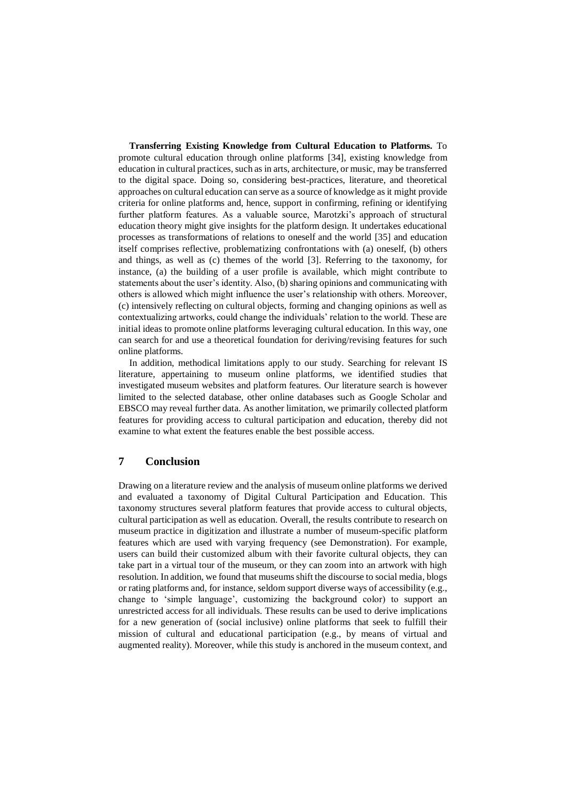**Transferring Existing Knowledge from Cultural Education to Platforms.** To promote cultural education through online platforms [34], existing knowledge from education in cultural practices, such as in arts, architecture, or music, may be transferred to the digital space. Doing so, considering best-practices, literature, and theoretical approaches on cultural education can serve as a source of knowledge as it might provide criteria for online platforms and, hence, support in confirming, refining or identifying further platform features. As a valuable source, Marotzki's approach of structural education theory might give insights for the platform design. It undertakes educational processes as transformations of relations to oneself and the world [35] and education itself comprises reflective, problematizing confrontations with (a) oneself, (b) others and things, as well as (c) themes of the world [3]. Referring to the taxonomy, for instance, (a) the building of a user profile is available, which might contribute to statements about the user's identity. Also, (b) sharing opinions and communicating with others is allowed which might influence the user's relationship with others. Moreover, (c) intensively reflecting on cultural objects, forming and changing opinions as well as contextualizing artworks, could change the individuals' relation to the world. These are initial ideas to promote online platforms leveraging cultural education. In this way, one can search for and use a theoretical foundation for deriving/revising features for such online platforms.

In addition, methodical limitations apply to our study. Searching for relevant IS literature, appertaining to museum online platforms, we identified studies that investigated museum websites and platform features. Our literature search is however limited to the selected database, other online databases such as Google Scholar and EBSCO may reveal further data. As another limitation, we primarily collected platform features for providing access to cultural participation and education, thereby did not examine to what extent the features enable the best possible access.

### **7 Conclusion**

Drawing on a literature review and the analysis of museum online platforms we derived and evaluated a taxonomy of Digital Cultural Participation and Education. This taxonomy structures several platform features that provide access to cultural objects, cultural participation as well as education. Overall, the results contribute to research on museum practice in digitization and illustrate a number of museum-specific platform features which are used with varying frequency (see Demonstration). For example, users can build their customized album with their favorite cultural objects, they can take part in a virtual tour of the museum, or they can zoom into an artwork with high resolution. In addition, we found that museums shift the discourse to social media, blogs or rating platforms and, for instance, seldom support diverse ways of accessibility (e.g., change to 'simple language', customizing the background color) to support an unrestricted access for all individuals. These results can be used to derive implications for a new generation of (social inclusive) online platforms that seek to fulfill their mission of cultural and educational participation (e.g., by means of virtual and augmented reality). Moreover, while this study is anchored in the museum context, and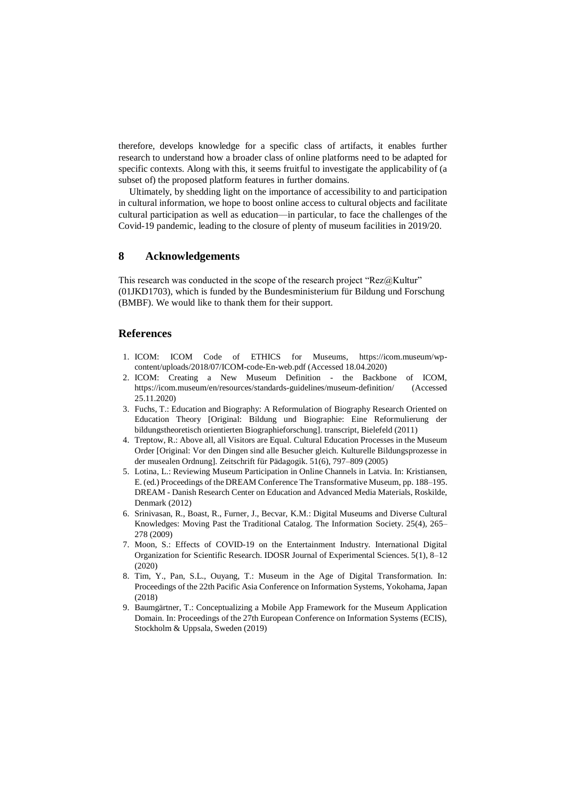therefore, develops knowledge for a specific class of artifacts, it enables further research to understand how a broader class of online platforms need to be adapted for specific contexts. Along with this, it seems fruitful to investigate the applicability of (a subset of) the proposed platform features in further domains.

Ultimately, by shedding light on the importance of accessibility to and participation in cultural information, we hope to boost online access to cultural objects and facilitate cultural participation as well as education—in particular, to face the challenges of the Covid-19 pandemic, leading to the closure of plenty of museum facilities in 2019/20.

#### **8 Acknowledgements**

This research was conducted in the scope of the research project "Rez@Kultur" (01JKD1703), which is funded by the Bundesministerium für Bildung und Forschung (BMBF). We would like to thank them for their support.

#### **References**

- 1. ICOM: ICOM Code of ETHICS for Museums, https://icom.museum/wpcontent/uploads/2018/07/ICOM-code-En-web.pdf (Accessed 18.04.2020)
- 2. ICOM: Creating a New Museum Definition the Backbone of ICOM, https://icom.museum/en/resources/standards-guidelines/museum-definition/ (Accessed 25.11.2020)
- 3. Fuchs, T.: Education and Biography: A Reformulation of Biography Research Oriented on Education Theory [Original: Bildung und Biographie: Eine Reformulierung der bildungstheoretisch orientierten Biographieforschung]. transcript, Bielefeld (2011)
- 4. Treptow, R.: Above all, all Visitors are Equal. Cultural Education Processes in the Museum Order [Original: Vor den Dingen sind alle Besucher gleich. Kulturelle Bildungsprozesse in der musealen Ordnung]. Zeitschrift für Pädagogik. 51(6), 797–809 (2005)
- 5. Lotina, L.: Reviewing Museum Participation in Online Channels in Latvia. In: Kristiansen, E. (ed.) Proceedings of the DREAM Conference The Transformative Museum, pp. 188–195. DREAM - Danish Research Center on Education and Advanced Media Materials, Roskilde, Denmark (2012)
- 6. Srinivasan, R., Boast, R., Furner, J., Becvar, K.M.: Digital Museums and Diverse Cultural Knowledges: Moving Past the Traditional Catalog. The Information Society. 25(4), 265– 278 (2009)
- 7. Moon, S.: Effects of COVID-19 on the Entertainment Industry. International Digital Organization for Scientific Research. IDOSR Journal of Experimental Sciences. 5(1), 8–12 (2020)
- 8. Tim, Y., Pan, S.L., Ouyang, T.: Museum in the Age of Digital Transformation. In: Proceedings of the 22th Pacific Asia Conference on Information Systems, Yokohama, Japan (2018)
- 9. Baumgärtner, T.: Conceptualizing a Mobile App Framework for the Museum Application Domain. In: Proceedings of the 27th European Conference on Information Systems (ECIS), Stockholm & Uppsala, Sweden (2019)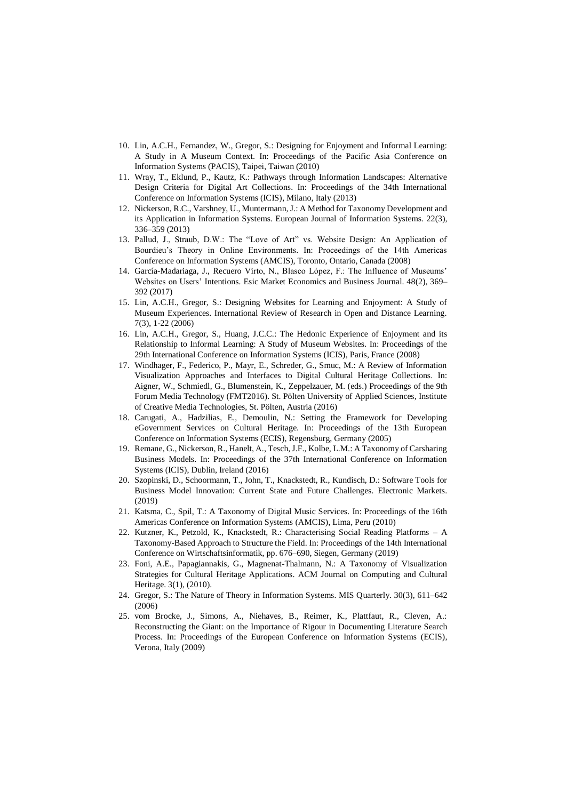- 10. Lin, A.C.H., Fernandez, W., Gregor, S.: Designing for Enjoyment and Informal Learning: A Study in A Museum Context. In: Proceedings of the Pacific Asia Conference on Information Systems (PACIS), Taipei, Taiwan (2010)
- 11. Wray, T., Eklund, P., Kautz, K.: Pathways through Information Landscapes: Alternative Design Criteria for Digital Art Collections. In: Proceedings of the 34th International Conference on Information Systems (ICIS), Milano, Italy (2013)
- 12. Nickerson, R.C., Varshney, U., Muntermann, J.: A Method for Taxonomy Development and its Application in Information Systems. European Journal of Information Systems. 22(3), 336–359 (2013)
- 13. Pallud, J., Straub, D.W.: The "Love of Art" vs. Website Design: An Application of Bourdieu's Theory in Online Environments. In: Proceedings of the 14th Americas Conference on Information Systems (AMCIS), Toronto, Ontario, Canada (2008)
- 14. García-Madariaga, J., Recuero Virto, N., Blasco López, F.: The Influence of Museums' Websites on Users' Intentions. Esic Market Economics and Business Journal. 48(2), 369– 392 (2017)
- 15. Lin, A.C.H., Gregor, S.: Designing Websites for Learning and Enjoyment: A Study of Museum Experiences. International Review of Research in Open and Distance Learning. 7(3), 1-22 (2006)
- 16. Lin, A.C.H., Gregor, S., Huang, J.C.C.: The Hedonic Experience of Enjoyment and its Relationship to Informal Learning: A Study of Museum Websites. In: Proceedings of the 29th International Conference on Information Systems (ICIS), Paris, France (2008)
- 17. Windhager, F., Federico, P., Mayr, E., Schreder, G., Smuc, M.: A Review of Information Visualization Approaches and Interfaces to Digital Cultural Heritage Collections. In: Aigner, W., Schmiedl, G., Blumenstein, K., Zeppelzauer, M. (eds.) Proceedings of the 9th Forum Media Technology (FMT2016). St. Pölten University of Applied Sciences, Institute of Creative Media Technologies, St. Pölten, Austria (2016)
- 18. Carugati, A., Hadzilias, E., Demoulin, N.: Setting the Framework for Developing eGovernment Services on Cultural Heritage. In: Proceedings of the 13th European Conference on Information Systems (ECIS), Regensburg, Germany (2005)
- 19. Remane, G., Nickerson, R., Hanelt, A., Tesch, J.F., Kolbe, L.M.: A Taxonomy of Carsharing Business Models. In: Proceedings of the 37th International Conference on Information Systems (ICIS), Dublin, Ireland (2016)
- 20. Szopinski, D., Schoormann, T., John, T., Knackstedt, R., Kundisch, D.: Software Tools for Business Model Innovation: Current State and Future Challenges. Electronic Markets. (2019)
- 21. Katsma, C., Spil, T.: A Taxonomy of Digital Music Services. In: Proceedings of the 16th Americas Conference on Information Systems (AMCIS), Lima, Peru (2010)
- 22. Kutzner, K., Petzold, K., Knackstedt, R.: Characterising Social Reading Platforms A Taxonomy-Based Approach to Structure the Field. In: Proceedings of the 14th International Conference on Wirtschaftsinformatik, pp. 676–690, Siegen, Germany (2019)
- 23. Foni, A.E., Papagiannakis, G., Magnenat-Thalmann, N.: A Taxonomy of Visualization Strategies for Cultural Heritage Applications. ACM Journal on Computing and Cultural Heritage. 3(1), (2010).
- 24. Gregor, S.: The Nature of Theory in Information Systems. MIS Quarterly. 30(3), 611–642 (2006)
- 25. vom Brocke, J., Simons, A., Niehaves, B., Reimer, K., Plattfaut, R., Cleven, A.: Reconstructing the Giant: on the Importance of Rigour in Documenting Literature Search Process. In: Proceedings of the European Conference on Information Systems (ECIS), Verona, Italy (2009)